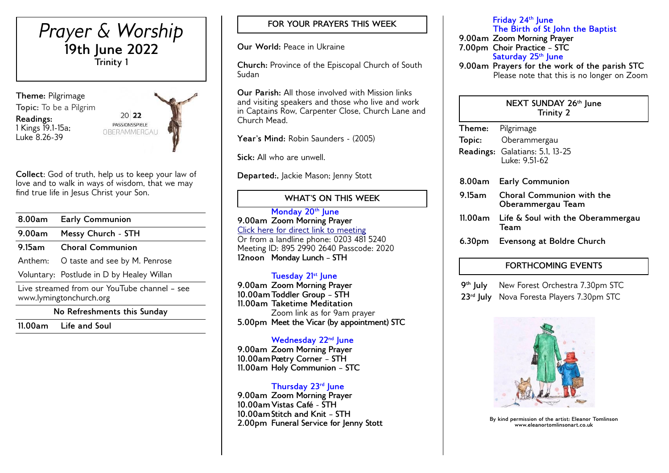

**Collect**: God of truth, help us to keep your law of love and to walk in ways of wisdom, that we may find true life in Jesus Christ your Son.

| 8.00am                                                                  | <b>Early Communion</b>                    |  |
|-------------------------------------------------------------------------|-------------------------------------------|--|
| 9.00am                                                                  | Messy Church - STH                        |  |
| 9.15am                                                                  | <b>Choral Communion</b>                   |  |
| Anthem:                                                                 | O taste and see by M. Penrose             |  |
|                                                                         | Voluntary: Postlude in D by Healey Willan |  |
| Live streamed from our YouTube channel - see<br>www.lymingtonchurch.org |                                           |  |
| No Refreshments this Sunday                                             |                                           |  |

**11.00am Life and Soul** 

# **FOR YOUR PRAYERS THIS WEEK**

**Our World:** Peace in Ukraine

**Church:** Province of the Episcopal Church of South Sudan

**Our Parish:** All those involved with Mission links and visiting speakers and those who live and work in Captains Row, Carpenter Close, Church Lane and Church Mead.

Year's Mind: Robin Saunders - (2005)

**Sick:** All who are unwell.

Departed:, Jackie Mason; Jenny Stott

# **WHAT'S ON THIS WEEK**

**Monday 20th June 9.00am Zoom Morning Prayer** [Click here for direct link to meeting](https://us02web.zoom.us/j/89529902640?pwd=QVQxTGxjODdwV3ROT1gxM2NWUjN0dz09) Or from a landline phone: 0203 481 5240 Meeting ID: 895 2990 2640 Passcode: 2020 **12noon Monday Lunch – STH** 

## **Tuesday 21st June**

**9.00am Zoom Morning Prayer 10.00amToddler Group – STH 11.00am Taketime Meditation**  Zoom link as for 9am prayer **5.00pm Meet the Vicar (by appointment) STC**

## **Wednesday 22nd June**

**9.00am Zoom Morning Prayer 10.00amPoetry Corner – STH 11.00am Holy Communion – STC** 

### **Thursday 23rd June**

**9.00am Zoom Morning Prayer 10.00amVistas Café - STH 10.00amStitch and Knit – STH 2.00pm Funeral Service for Jenny Stott**

**Friday 24th June The Birth of St John the Baptist 9.00am Zoom Morning Prayer 7.00pm Choir Practice – STC Saturday 25th June 9.00am Prayers for the work of the parish STC**

Please note that this is no longer on Zoom

#### **NEXT SUNDAY 26th June Trinity 2**

|        | Theme: Pilgrimage                                     |
|--------|-------------------------------------------------------|
|        | Topic: Oberammergau                                   |
|        | Readings: Galatians: 5.1, 13-25<br>Luke: 9 51-62      |
|        | 8.00am Early Communion                                |
| 9.15am | <b>Choral Communion with the</b><br>Oberammergau Team |
|        | 11.00am Life & Soul with the Oberammergau<br>Team     |
|        | 6.30pm Evensong at Boldre Church                      |

## **FORTHCOMING EVENTS**

9<sup>th</sup> July **New Forest Orchestra 7.30pm STC 23rd July** Nova Foresta Players 7.30pm STC



**By kind permission of the artist: Eleanor Tomlinson www.eleanortomlinsonart.co.uk**